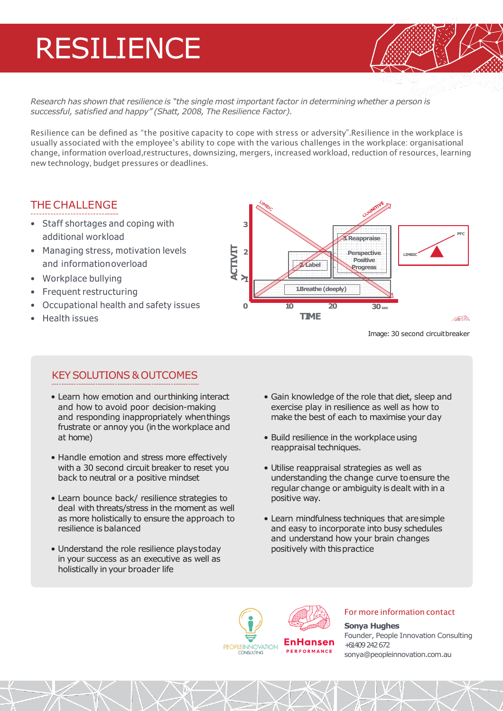# RESILIENCE

Research has shown that resilience is "the single most important factor in determining whether a person is *successful, satisfied and happy" (Shatt, 2008, The Resilience Factor).*

Resilience can be defined as "the positive capacity to cope with stress or adversity".Resilience in the workplace is usually associated with the employee's ability to cope with the various challenges in the workplace: organisational change, information overload,restructures, downsizing, mergers, increased workload, reduction of resources, learning new technology, budget pressures or deadlines.

### THE CHALLENGE

- Staff shortages and coping with additional workload
- Managing stress, motivation levels and informationoverload
- Workplace bullying
- Frequent restructuring
- Occupational health and safety issues
- Health issues



Image: 30 second circuitbreaker

### KEYSOLUTIONS &OUTCOMES

- Learn how emotion and ourthinking interact and how to avoid poor decision-making and responding inappropriately whenthings frustrate or annoy you (in the workplace and at home)
- Handle emotion and stress more effectively with a 30 second circuit breaker to reset you back to neutral or a positive mindset
- Learn bounce back/ resilience strategies to deal with threats/stress in the moment as well as more holistically to ensure the approach to resilience is balanced
- Understand the role resilience playstoday in your success as an executive as well as holistically in your broader life
- Gain knowledge of the role that diet, sleep and exercise play in resilience as well as how to make the best of each to maximise your day
- Build resilience in the workplace using reappraisal techniques.
- Utilise reappraisal strategies as well as understanding the change curve toensure the regular change or ambiguity is dealt with in a positive way.
- Learn mindfulness techniques that aresimple and easy to incorporate into busy schedules and understand how your brain changes positively with thispractice



### For more information contact

**Sonya Hughes** Founder, People Innovation Consulting +61 409 242 672 sonya@peopleinnovation.com.au